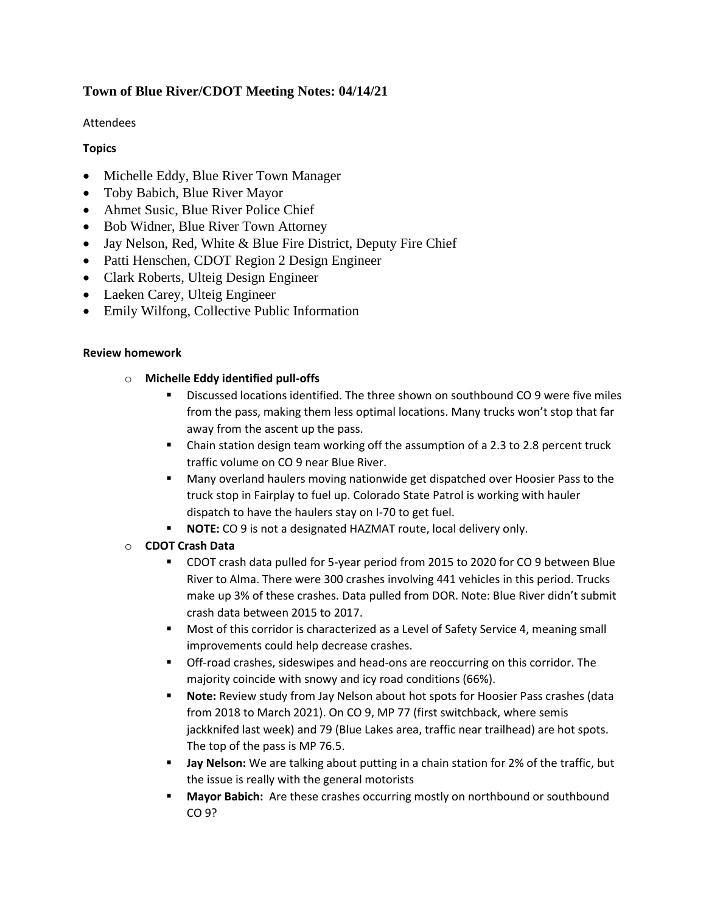# **Town of Blue River/CDOT Meeting Notes: 04/14/21**

## Attendees

# **Topics**

- Michelle Eddy, Blue River Town Manager
- Toby Babich, Blue River Mayor
- Ahmet Susic, Blue River Police Chief
- Bob Widner, Blue River Town Attorney
- Jay Nelson, Red, White & Blue Fire District, Deputy Fire Chief
- Patti Henschen, CDOT Region 2 Design Engineer
- Clark Roberts, Ulteig Design Engineer
- Laeken Carey, Ulteig Engineer
- Emily Wilfong, Collective Public Information

#### **Review homework**

### o **Michelle Eddy identified pull-offs**

- Discussed locations identified. The three shown on southbound CO 9 were five miles from the pass, making them less optimal locations. Many trucks won't stop that far away from the ascent up the pass.
- **•** Chain station design team working off the assumption of a 2.3 to 2.8 percent truck traffic volume on CO 9 near Blue River.
- Many overland haulers moving nationwide get dispatched over Hoosier Pass to the truck stop in Fairplay to fuel up. Colorado State Patrol is working with hauler dispatch to have the haulers stay on I-70 to get fuel.
- **NOTE:** CO 9 is not a designated HAZMAT route, local delivery only.

# o **CDOT Crash Data**

- CDOT crash data pulled for 5-year period from 2015 to 2020 for CO 9 between Blue River to Alma. There were 300 crashes involving 441 vehicles in this period. Trucks make up 3% of these crashes. Data pulled from DOR. Note: Blue River didn't submit crash data between 2015 to 2017.
- Most of this corridor is characterized as a Level of Safety Service 4, meaning small improvements could help decrease crashes.
- Off-road crashes, sideswipes and head-ons are reoccurring on this corridor. The majority coincide with snowy and icy road conditions (66%).
- **Note:** Review study from Jay Nelson about hot spots for Hoosier Pass crashes (data from 2018 to March 2021). On CO 9, MP 77 (first switchback, where semis jackknifed last week) and 79 (Blue Lakes area, traffic near trailhead) are hot spots. The top of the pass is MP 76.5.
- **Jay Nelson:** We are talking about putting in a chain station for 2% of the traffic, but the issue is really with the general motorists
- **Mayor Babich:** Are these crashes occurring mostly on northbound or southbound CO 9?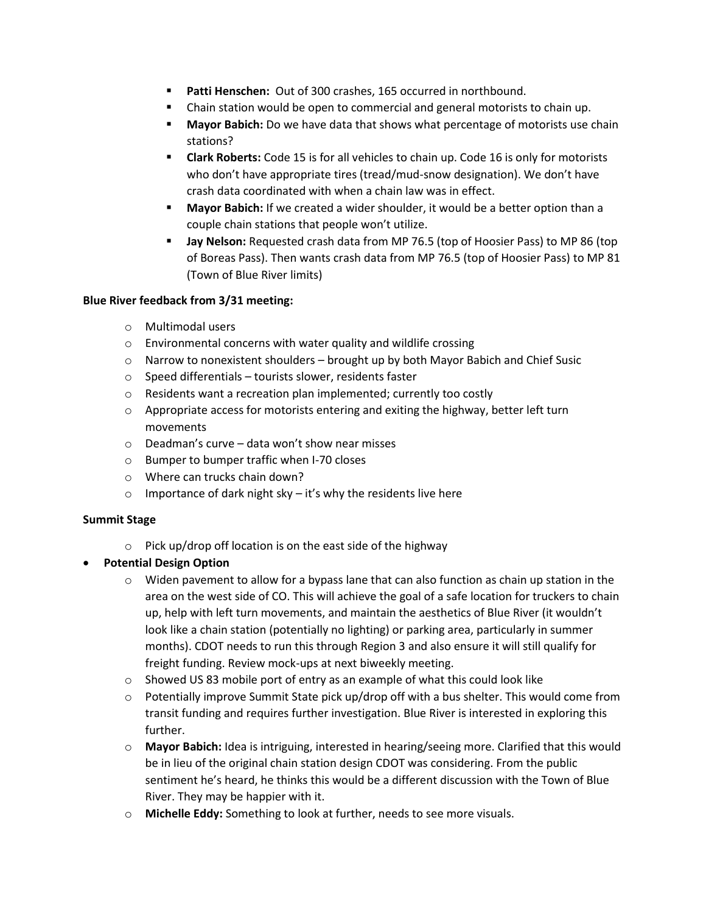- **Patti Henschen:** Out of 300 crashes, 165 occurred in northbound.
- Chain station would be open to commercial and general motorists to chain up.
- **Mayor Babich:** Do we have data that shows what percentage of motorists use chain stations?
- **Clark Roberts:** Code 15 is for all vehicles to chain up. Code 16 is only for motorists who don't have appropriate tires (tread/mud-snow designation). We don't have crash data coordinated with when a chain law was in effect.
- **Mayor Babich:** If we created a wider shoulder, it would be a better option than a couple chain stations that people won't utilize.
- **Jay Nelson:** Requested crash data from MP 76.5 (top of Hoosier Pass) to MP 86 (top of Boreas Pass). Then wants crash data from MP 76.5 (top of Hoosier Pass) to MP 81 (Town of Blue River limits)

### **Blue River feedback from 3/31 meeting:**

- o Multimodal users
- o Environmental concerns with water quality and wildlife crossing
- $\circ$  Narrow to nonexistent shoulders brought up by both Mayor Babich and Chief Susic
- o Speed differentials tourists slower, residents faster
- o Residents want a recreation plan implemented; currently too costly
- $\circ$  Appropriate access for motorists entering and exiting the highway, better left turn movements
- o Deadman's curve data won't show near misses
- o Bumper to bumper traffic when I-70 closes
- o Where can trucks chain down?
- $\circ$  Importance of dark night sky it's why the residents live here

#### **Summit Stage**

- o Pick up/drop off location is on the east side of the highway
- **Potential Design Option**
	- $\circ$  Widen pavement to allow for a bypass lane that can also function as chain up station in the area on the west side of CO. This will achieve the goal of a safe location for truckers to chain up, help with left turn movements, and maintain the aesthetics of Blue River (it wouldn't look like a chain station (potentially no lighting) or parking area, particularly in summer months). CDOT needs to run this through Region 3 and also ensure it will still qualify for freight funding. Review mock-ups at next biweekly meeting.
	- $\circ$  Showed US 83 mobile port of entry as an example of what this could look like
	- $\circ$  Potentially improve Summit State pick up/drop off with a bus shelter. This would come from transit funding and requires further investigation. Blue River is interested in exploring this further.
	- o **Mayor Babich:** Idea is intriguing, interested in hearing/seeing more. Clarified that this would be in lieu of the original chain station design CDOT was considering. From the public sentiment he's heard, he thinks this would be a different discussion with the Town of Blue River. They may be happier with it.
	- o **Michelle Eddy:** Something to look at further, needs to see more visuals.